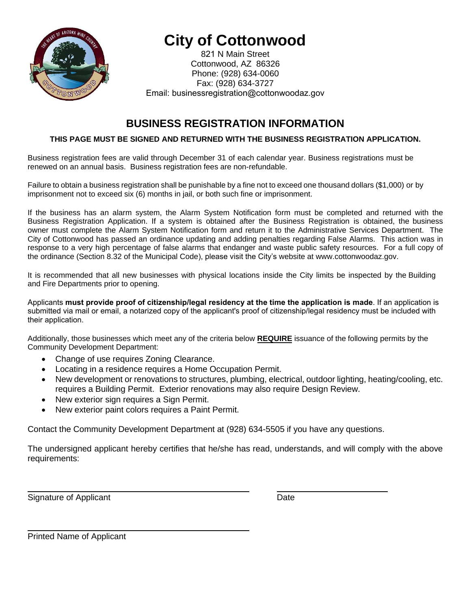

# **City of Cottonwood**

821 N Main Street Cottonwood, AZ 86326 Phone: (928) 634-0060 Fax: (928) 634-3727 Email: businessregistration@cottonwoodaz.gov

## **BUSINESS REGISTRATION INFORMATION**

#### **THIS PAGE MUST BE SIGNED AND RETURNED WITH THE BUSINESS REGISTRATION APPLICATION.**

Business registration fees are valid through December 31 of each calendar year. Business registrations must be renewed on an annual basis. Business registration fees are non-refundable.

Failure to obtain a business registration shall be punishable by a fine not to exceed one thousand dollars (\$1,000) or by imprisonment not to exceed six (6) months in jail, or both such fine or imprisonment.

If the business has an alarm system, the Alarm System Notification form must be completed and returned with the Business Registration Application. If a system is obtained after the Business Registration is obtained, the business owner must complete the Alarm System Notification form and return it to the Administrative Services Department. The City of Cottonwood has passed an ordinance updating and adding penalties regarding False Alarms. This action was in response to a very high percentage of false alarms that endanger and waste public safety resources. For a full copy of the ordinance (Section 8.32 of the Municipal Code), please visit the City's website at www.cottonwoodaz.gov.

It is recommended that all new businesses with physical locations inside the City limits be inspected by the Building and Fire Departments prior to opening.

Applicants **must provide proof of citizenship/legal residency at the time the application is made**. If an application is submitted via mail or email, a notarized copy of the applicant's proof of citizenship/legal residency must be included with their application.

Additionally, those businesses which meet any of the criteria below **REQUIRE** issuance of the following permits by the Community Development Department:

- Change of use requires Zoning Clearance.
- Locating in a residence requires a Home Occupation Permit.
- New development or renovations to structures, plumbing, electrical, outdoor lighting, heating/cooling, etc. requires a Building Permit. Exterior renovations may also require Design Review.
- New exterior sign requires a Sign Permit.
- New exterior paint colors requires a Paint Permit.

Contact the Community Development Department at (928) 634-5505 if you have any questions.

The undersigned applicant hereby certifies that he/she has read, understands, and will comply with the above requirements:

Signature of Applicant Date

Printed Name of Applicant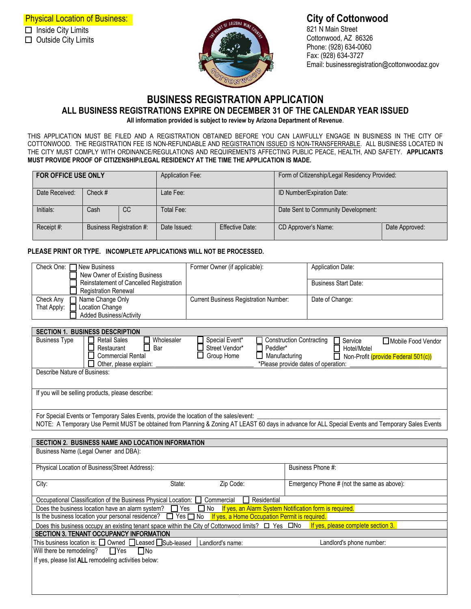

## **City of Cottonwood**

821 N Main Street Cottonwood, AZ 86326 Phone: (928) 634-0060 Fax: (928) 634-3727 Email: businessregistration@cottonwoodaz.gov

### **BUSINESS REGISTRATION APPLICATION ALL BUSINESS REGISTRATIONS EXPIRE ON DECEMBER 31 OF THE CALENDAR YEAR ISSUED**

**All information provided is subject to review by Arizona Department of Revenue**.

THIS APPLICATION MUST BE FILED AND A REGISTRATION OBTAINED BEFORE YOU CAN LAWFULLY ENGAGE IN BUSINESS IN THE CITY OF COTTONWOOD. THE REGISTRATION FEE IS NON-REFUNDABLE AND REGISTRATION ISSUED IS NON-TRANSFERRABLE. ALL BUSINESS LOCATED IN THE CITY MUST COMPLY WITH ORDINANCE/REGULATIONS AND REQUIREMENTS AFFECTING PUBLIC PEACE, HEALTH, AND SAFETY. **APPLICANTS MUST PROVIDE PROOF OF CITIZENSHIP/LEGAL RESIDENCY AT THE TIME THE APPLICATION IS MADE.** 

| <b>FOR OFFICE USE ONLY</b> |                          |               | <b>Application Fee:</b> |                        | Form of Citizenship/Legal Residency Provided: |                |  |  |
|----------------------------|--------------------------|---------------|-------------------------|------------------------|-----------------------------------------------|----------------|--|--|
| Date Received:             | Check $#$                |               | Late Fee:               |                        | ID Number/Expiration Date:                    |                |  |  |
| Initials:                  | Cash                     | <sub>CC</sub> | Total Fee:              |                        | Date Sent to Community Development:           |                |  |  |
| Receipt #:                 | Business Registration #: |               | Date Issued:            | <b>Effective Date:</b> | CD Approver's Name:                           | Date Approved: |  |  |

#### **PLEASE PRINT OR TYPE. INCOMPLETE APPLICATIONS WILL NOT BE PROCESSED.**

| Check One: □ New Business<br>New Owner of Existing Business                                                                                                                                                                                                                                                                                                                                                                         | Former Owner (if applicable):                | Application Date:                                      |  |  |  |  |  |  |
|-------------------------------------------------------------------------------------------------------------------------------------------------------------------------------------------------------------------------------------------------------------------------------------------------------------------------------------------------------------------------------------------------------------------------------------|----------------------------------------------|--------------------------------------------------------|--|--|--|--|--|--|
| Reinstatement of Cancelled Registration<br><b>Registration Renewal</b>                                                                                                                                                                                                                                                                                                                                                              |                                              | <b>Business Start Date:</b>                            |  |  |  |  |  |  |
| Check Any<br>Name Change Only<br>Location Change<br>That Apply:<br><b>Added Business/Activity</b>                                                                                                                                                                                                                                                                                                                                   | <b>Current Business Registration Number:</b> | Date of Change:                                        |  |  |  |  |  |  |
|                                                                                                                                                                                                                                                                                                                                                                                                                                     |                                              |                                                        |  |  |  |  |  |  |
| <b>SECTION 1. BUSINESS DESCRIPTION</b><br><b>Retail Sales</b><br><b>Business Type</b><br>Wholesaler<br>Special Event*<br><b>Construction Contracting</b><br>Service<br>Mobile Food Vendor<br>Street Vendor*<br>Restaurant<br>Bar<br>Peddler*<br>H<br>Hotel/Motel<br><b>Commercial Rental</b><br>Group Home<br>Manufacturing<br>Non-Profit (provide Federal 501(c))<br>Other, please explain:<br>*Please provide dates of operation: |                                              |                                                        |  |  |  |  |  |  |
| <b>Describe Nature of Business:</b>                                                                                                                                                                                                                                                                                                                                                                                                 |                                              |                                                        |  |  |  |  |  |  |
| If you will be selling products, please describe:                                                                                                                                                                                                                                                                                                                                                                                   |                                              |                                                        |  |  |  |  |  |  |
| For Special Events or Temporary Sales Events, provide the location of the sales/event:<br>NOTE: A Temporary Use Permit MUST be obtained from Planning & Zoning AT LEAST 60 days in advance for ALL Special Events and Temporary Sales Events                                                                                                                                                                                        |                                              |                                                        |  |  |  |  |  |  |
| SECTION 2. BUSINESS NAME AND LOCATION INFORMATION                                                                                                                                                                                                                                                                                                                                                                                   |                                              |                                                        |  |  |  |  |  |  |
| Business Name (Legal Owner and DBA):                                                                                                                                                                                                                                                                                                                                                                                                |                                              |                                                        |  |  |  |  |  |  |
| Physical Location of Business(Street Address):                                                                                                                                                                                                                                                                                                                                                                                      |                                              | Business Phone #:                                      |  |  |  |  |  |  |
| State:<br>City:                                                                                                                                                                                                                                                                                                                                                                                                                     | Zip Code:                                    | Emergency Phone # (not the same as above):             |  |  |  |  |  |  |
| Occupational Classification of the Business Physical Location:                                                                                                                                                                                                                                                                                                                                                                      | Residential<br>Commercial<br>ΙI              |                                                        |  |  |  |  |  |  |
| Does the business location have an alarm system?<br>Yes                                                                                                                                                                                                                                                                                                                                                                             | No T                                         | If yes, an Alarm System Notification form is required. |  |  |  |  |  |  |
| Is the business location your personal residence?<br>$\Box$ Yes $\Box$ No<br>If yes, a Home Occupation Permit is required.                                                                                                                                                                                                                                                                                                          |                                              |                                                        |  |  |  |  |  |  |
| If yes, please complete section 3.<br>Does this business occupy an existing tenant space within the City of Cottonwood limits?<br><u>Does this business occupy an existing tenant space within the City of Cottonwood limits?</u><br><u>D</u> Yes <u>DNo</u><br>SECTION 3. TENANT OCCUPANCY INFORMATION                                                                                                                             |                                              |                                                        |  |  |  |  |  |  |
| This business location is: $\Box$ Owned $\Box$ Leased $\Box$ Sub-leased<br>Landlord's name:<br>Landlord's phone number:                                                                                                                                                                                                                                                                                                             |                                              |                                                        |  |  |  |  |  |  |
| Will there be remodeling?<br>$\Box$ Yes<br>$\Box$ No                                                                                                                                                                                                                                                                                                                                                                                |                                              |                                                        |  |  |  |  |  |  |
| If yes, please list ALL remodeling activities below:                                                                                                                                                                                                                                                                                                                                                                                |                                              |                                                        |  |  |  |  |  |  |
|                                                                                                                                                                                                                                                                                                                                                                                                                                     |                                              |                                                        |  |  |  |  |  |  |
|                                                                                                                                                                                                                                                                                                                                                                                                                                     |                                              |                                                        |  |  |  |  |  |  |
|                                                                                                                                                                                                                                                                                                                                                                                                                                     |                                              |                                                        |  |  |  |  |  |  |